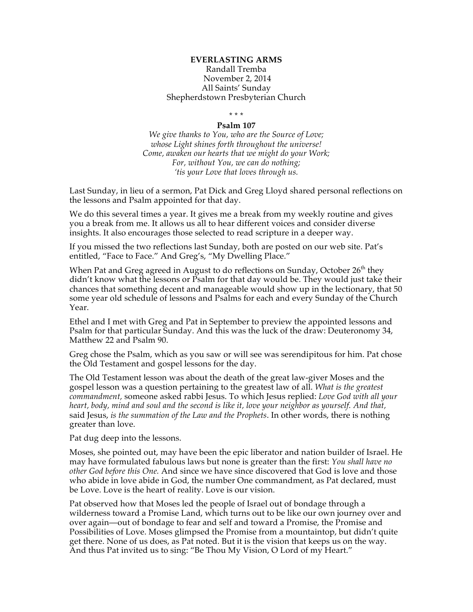## **EVERLASTING ARMS** Randall Tremba November 2, 2014 All Saints' Sunday Shepherdstown Presbyterian Church

\* \* \*

## **Psalm 107**

*We give thanks to You, who are the Source of Love; whose Light shines forth throughout the universe! Come, awaken our hearts that we might do your Work; For, without You, we can do nothing; 'tis your Love that loves through us.*

Last Sunday, in lieu of a sermon, Pat Dick and Greg Lloyd shared personal reflections on the lessons and Psalm appointed for that day.

We do this several times a year. It gives me a break from my weekly routine and gives you a break from me. It allows us all to hear different voices and consider diverse insights. It also encourages those selected to read scripture in a deeper way.

If you missed the two reflections last Sunday, both are posted on our web site. Pat's entitled, "Face to Face." And Greg's, "My Dwelling Place."

When Pat and Greg agreed in August to do reflections on Sunday, October 26<sup>th</sup> they didn't know what the lessons or Psalm for that day would be. They would just take their chances that something decent and manageable would show up in the lectionary, that 50 some year old schedule of lessons and Psalms for each and every Sunday of the Church Year.

Ethel and I met with Greg and Pat in September to preview the appointed lessons and Psalm for that particular Sunday. And this was the luck of the draw: Deuteronomy 34, Matthew 22 and Psalm 90.

Greg chose the Psalm, which as you saw or will see was serendipitous for him. Pat chose the Old Testament and gospel lessons for the day.

The Old Testament lesson was about the death of the great law-giver Moses and the gospel lesson was a question pertaining to the greatest law of all. *What is the greatest commandment,* someone asked rabbi Jesus. To which Jesus replied: *Love God with all your heart, body, mind and soul and the second is like it, love your neighbor as yourself. And that,* said Jesus, *is the summation of the Law and the Prophets*. In other words, there is nothing greater than love.

Pat dug deep into the lessons.

Moses, she pointed out, may have been the epic liberator and nation builder of Israel. He may have formulated fabulous laws but none is greater than the first: *You shall have no other God before this One.* And since we have since discovered that God is love and those who abide in love abide in God, the number One commandment, as Pat declared, must be Love. Love is the heart of reality. Love is our vision.

Pat observed how that Moses led the people of Israel out of bondage through a wilderness toward a Promise Land, which turns out to be like our own journey over and over again—out of bondage to fear and self and toward a Promise, the Promise and Possibilities of Love. Moses glimpsed the Promise from a mountaintop, but didn't quite get there. None of us does, as Pat noted. But it is the vision that keeps us on the way. And thus Pat invited us to sing: "Be Thou My Vision, O Lord of my Heart."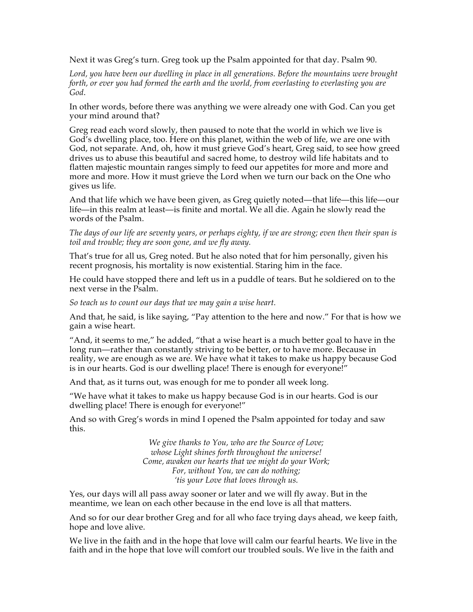Next it was Greg's turn. Greg took up the Psalm appointed for that day. Psalm 90.

*Lord, you have been our dwelling in place in all generations. Before the mountains were brought forth, or ever you had formed the earth and the world, from everlasting to everlasting you are God*.

In other words, before there was anything we were already one with God. Can you get your mind around that?

Greg read each word slowly, then paused to note that the world in which we live is God's dwelling place, too. Here on this planet, within the web of life, we are one with God, not separate. And, oh, how it must grieve God's heart, Greg said, to see how greed drives us to abuse this beautiful and sacred home, to destroy wild life habitats and to flatten majestic mountain ranges simply to feed our appetites for more and more and more and more. How it must grieve the Lord when we turn our back on the One who gives us life.

And that life which we have been given, as Greg quietly noted—that life—this life—our life—in this realm at least—is finite and mortal. We all die. Again he slowly read the words of the Psalm.

*The days of our life are seventy years, or perhaps eighty, if we are strong; even then their span is toil and trouble; they are soon gone, and we fly away.* 

That's true for all us, Greg noted. But he also noted that for him personally, given his recent prognosis, his mortality is now existential. Staring him in the face.

He could have stopped there and left us in a puddle of tears. But he soldiered on to the next verse in the Psalm.

*So teach us to count our days that we may gain a wise heart.* 

And that, he said, is like saying, "Pay attention to the here and now." For that is how we gain a wise heart.

"And, it seems to me," he added, "that a wise heart is a much better goal to have in the long run—rather than constantly striving to be better, or to have more. Because in reality, we are enough as we are. We have what it takes to make us happy because God is in our hearts. God is our dwelling place! There is enough for everyone!"

And that, as it turns out, was enough for me to ponder all week long.

"We have what it takes to make us happy because God is in our hearts. God is our dwelling place! There is enough for everyone!"

And so with Greg's words in mind I opened the Psalm appointed for today and saw this.

> *We give thanks to You, who are the Source of Love; whose Light shines forth throughout the universe! Come, awaken our hearts that we might do your Work; For, without You, we can do nothing; 'tis your Love that loves through us.*

Yes, our days will all pass away sooner or later and we will fly away. But in the meantime, we lean on each other because in the end love is all that matters.

And so for our dear brother Greg and for all who face trying days ahead, we keep faith, hope and love alive.

We live in the faith and in the hope that love will calm our fearful hearts. We live in the faith and in the hope that love will comfort our troubled souls. We live in the faith and